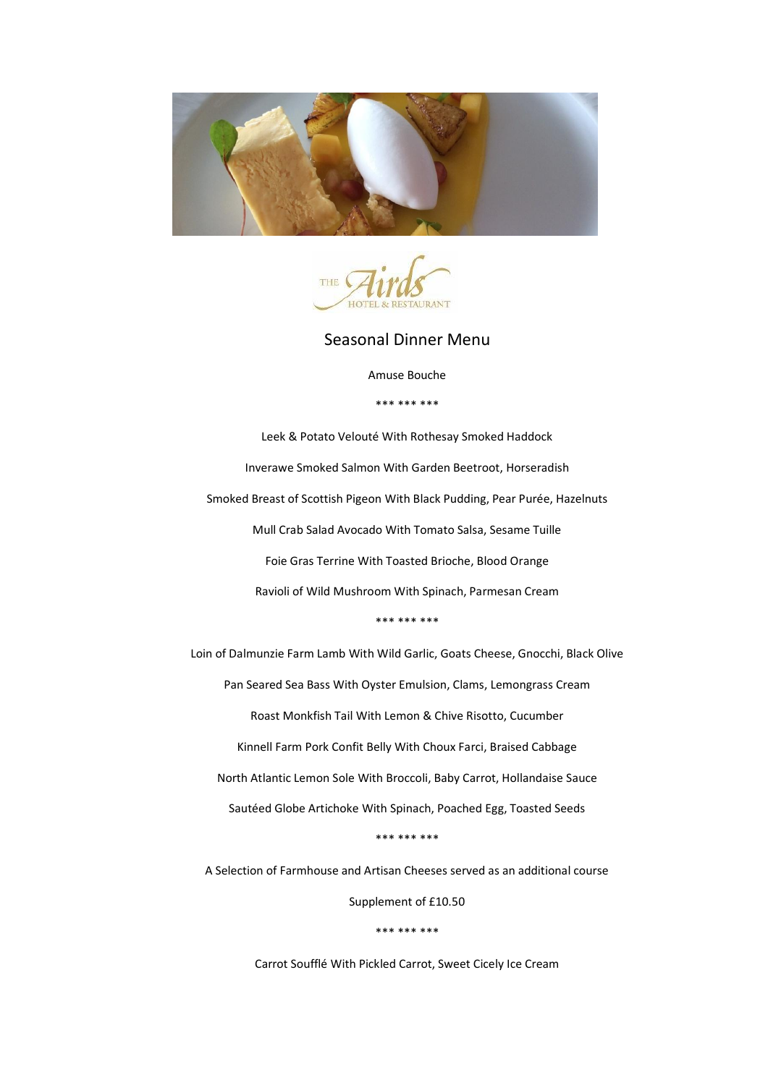



Seasonal Dinner Menu

Amuse Bouche

\*\*\* \*\*\* \*\*\*

Leek & Potato Velouté With Rothesay Smoked Haddock Inverawe Smoked Salmon With Garden Beetroot, Horseradish Smoked Breast of Scottish Pigeon With Black Pudding, Pear Purée, Hazelnuts Mull Crab Salad Avocado With Tomato Salsa, Sesame Tuille Foie Gras Terrine With Toasted Brioche, Blood Orange Ravioli of Wild Mushroom With Spinach, Parmesan Cream \*\*\* \*\*\* \*\*\*

Loin of Dalmunzie Farm Lamb With Wild Garlic, Goats Cheese, Gnocchi, Black Olive Pan Seared Sea Bass With Oyster Emulsion, Clams, Lemongrass Cream Roast Monkfish Tail With Lemon & Chive Risotto, Cucumber Kinnell Farm Pork Confit Belly With Choux Farci, Braised Cabbage North Atlantic Lemon Sole With Broccoli, Baby Carrot, Hollandaise Sauce Sautéed Globe Artichoke With Spinach, Poached Egg, Toasted Seeds \*\*\* \*\*\* \*\*\*

A Selection of Farmhouse and Artisan Cheeses served as an additional course

Supplement of £10.50

\*\*\* \*\*\* \*\*\*

Carrot Soufflé With Pickled Carrot, Sweet Cicely Ice Cream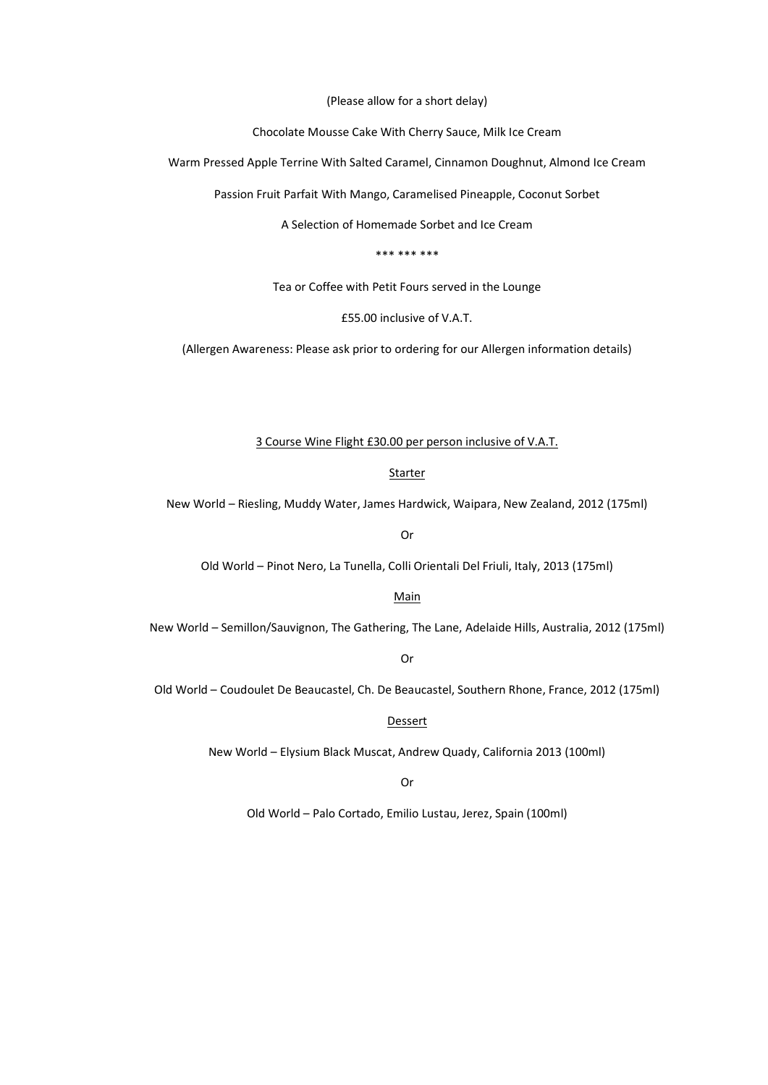(Please allow for a short delay)

Chocolate Mousse Cake With Cherry Sauce, Milk Ice Cream

Warm Pressed Apple Terrine With Salted Caramel, Cinnamon Doughnut, Almond Ice Cream

Passion Fruit Parfait With Mango, Caramelised Pineapple, Coconut Sorbet

A Selection of Homemade Sorbet and Ice Cream

\*\*\* \*\*\* \*\*\*

Tea or Coffee with Petit Fours served in the Lounge

£55.00 inclusive of V.A.T.

(Allergen Awareness: Please ask prior to ordering for our Allergen information details)

#### 3 Course Wine Flight £30.00 per person inclusive of V.A.T.

#### Starter

New World – Riesling, Muddy Water, James Hardwick, Waipara, New Zealand, 2012 (175ml)

Or

Old World – Pinot Nero, La Tunella, Colli Orientali Del Friuli, Italy, 2013 (175ml)

#### Main

New World – Semillon/Sauvignon, The Gathering, The Lane, Adelaide Hills, Australia, 2012 (175ml)

Or

Old World – Coudoulet De Beaucastel, Ch. De Beaucastel, Southern Rhone, France, 2012 (175ml)

Dessert

New World – Elysium Black Muscat, Andrew Quady, California 2013 (100ml)

Or

Old World – Palo Cortado, Emilio Lustau, Jerez, Spain (100ml)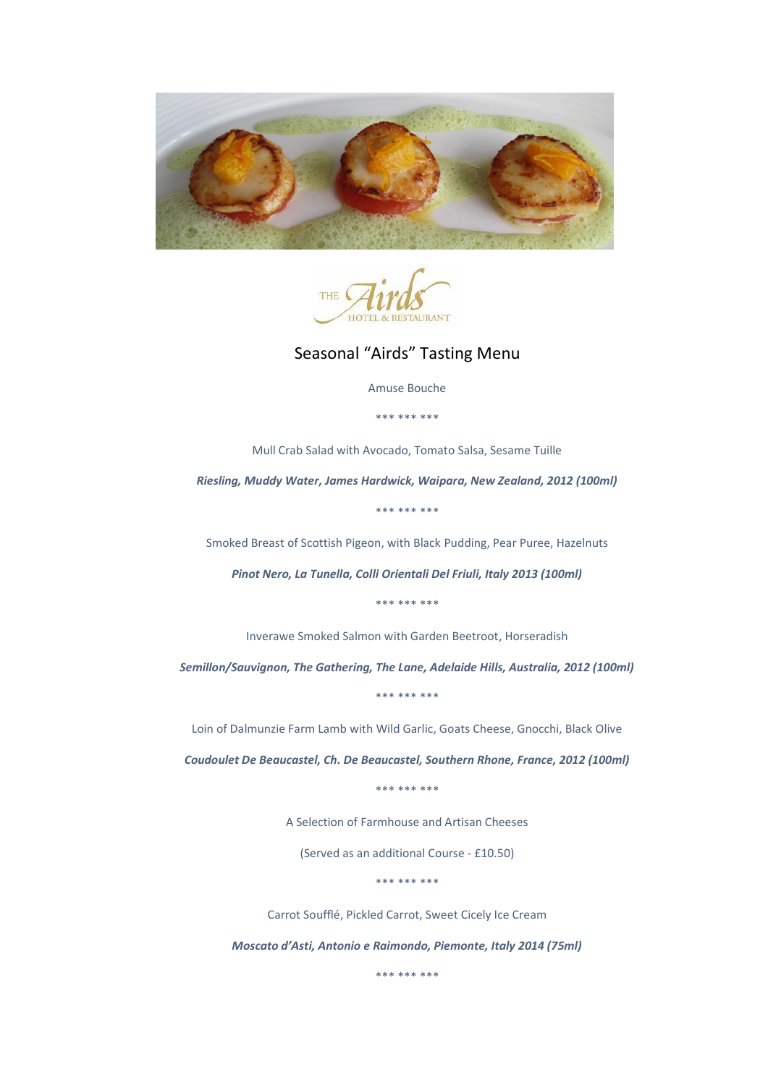



Seasonal "Airds" Tasting Menu

Amuse Bouche

\*\*\* \*\*\* \*\*\*

Mull Crab Salad with Avocado, Tomato Salsa, Sesame Tuille

*Riesling, Muddy Water, James Hardwick, Waipara, New Zealand, 2012 (100ml)*

\*\*\* \*\*\* \*\*\*

Smoked Breast of Scottish Pigeon, with Black Pudding, Pear Puree, Hazelnuts

*Pinot Nero, La Tunella, Colli Orientali Del Friuli, Italy 2013 (100ml)*

\*\*\* \*\*\* \*\*\*

Inverawe Smoked Salmon with Garden Beetroot, Horseradish

*Semillon/Sauvignon, The Gathering, The Lane, Adelaide Hills, Australia, 2012 (100ml)*

\*\*\* \*\*\* \*\*\*

Loin of Dalmunzie Farm Lamb with Wild Garlic, Goats Cheese, Gnocchi, Black Olive

*Coudoulet De Beaucastel, Ch. De Beaucastel, Southern Rhone, France, 2012 (100ml)*

\*\*\* \*\*\* \*\*\*

A Selection of Farmhouse and Artisan Cheeses

(Served as an additional Course - £10.50)

\*\*\* \*\*\* \*\*\*

Carrot Soufflé, Pickled Carrot, Sweet Cicely Ice Cream

*Moscato d'Asti, Antonio e Raimondo, Piemonte, Italy 2014 (75ml)*

\*\*\* \*\*\* \*\*\*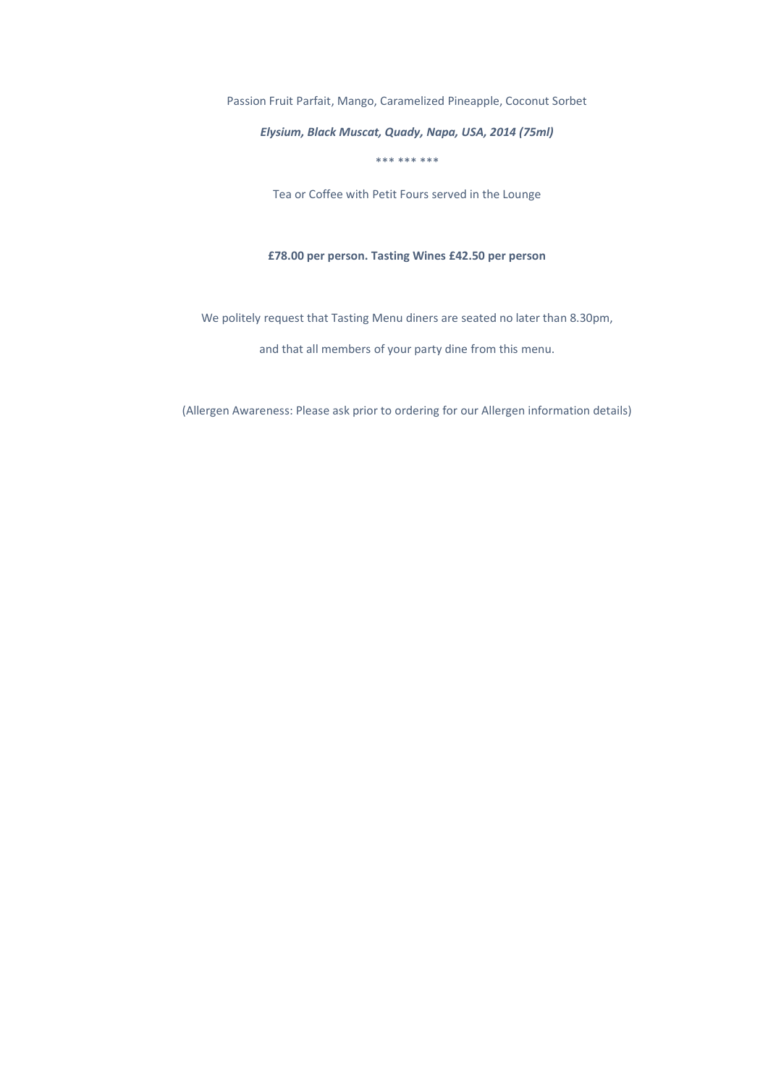Passion Fruit Parfait, Mango, Caramelized Pineapple, Coconut Sorbet

*Elysium, Black Muscat, Quady, Napa, USA, 2014 (75ml)*

\*\*\* \*\*\* \*\*\*

Tea or Coffee with Petit Fours served in the Lounge

#### **£78.00 per person. Tasting Wines £42.50 per person**

We politely request that Tasting Menu diners are seated no later than 8.30pm,

and that all members of your party dine from this menu.

(Allergen Awareness: Please ask prior to ordering for our Allergen information details)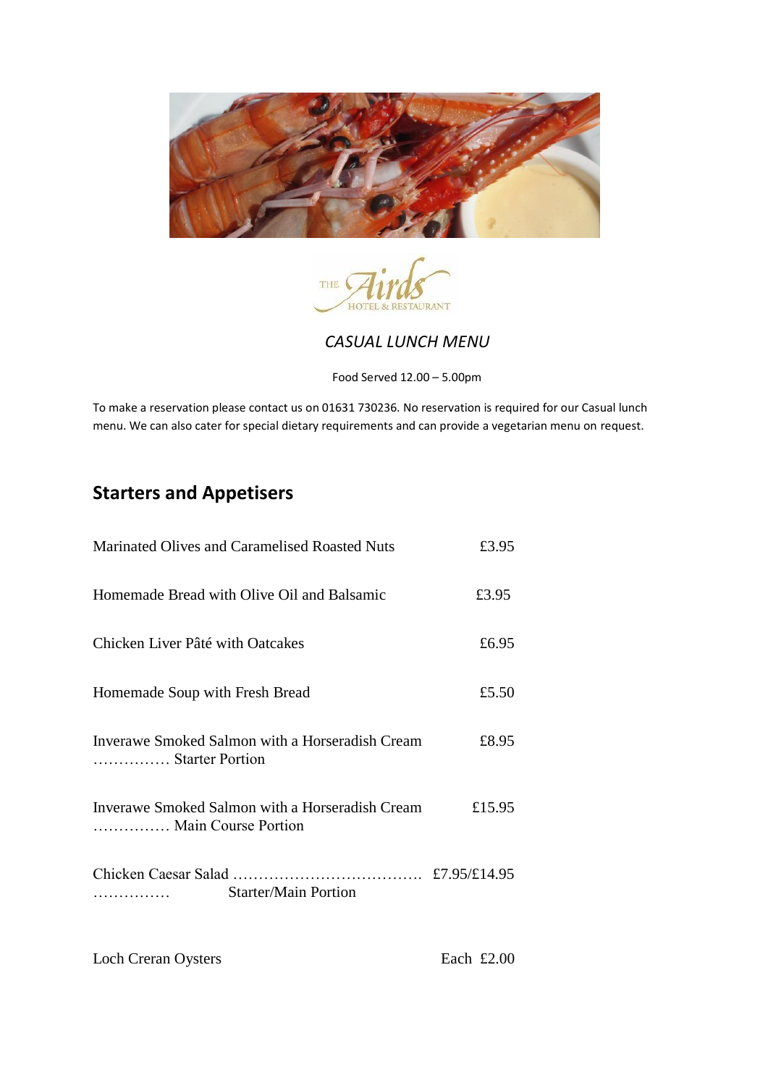



### *CASUAL LUNCH MENU*

Food Served 12.00 – 5.00pm

To make a reservation please contact us on 01631 730236. No reservation is required for our Casual lunch menu. We can also cater for special dietary requirements and can provide a vegetarian menu on request.

# **Starters and Appetisers**

| Marinated Olives and Caramelised Roasted Nuts                          | £3.95  |
|------------------------------------------------------------------------|--------|
| Homemade Bread with Olive Oil and Balsamic                             | £3.95  |
| Chicken Liver Pâté with Oatcakes                                       | £6.95  |
| Homemade Soup with Fresh Bread                                         | £5.50  |
| Inverawe Smoked Salmon with a Horseradish Cream<br>Starter Portion     | £8.95  |
| Inverawe Smoked Salmon with a Horseradish Cream<br>Main Course Portion | £15.95 |
| <b>Starter/Main Portion</b>                                            |        |

Loch Creran Oysters Each £2.00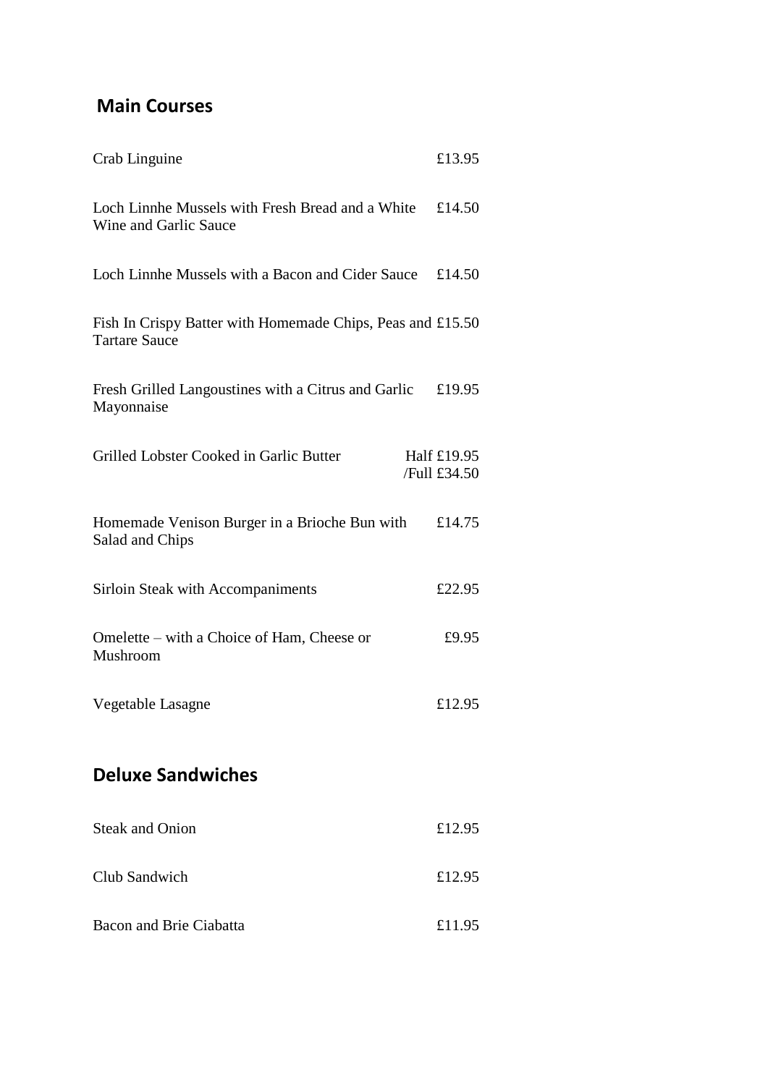## **Main Courses**

| Crab Linguine                                                                      | £13.95                      |
|------------------------------------------------------------------------------------|-----------------------------|
| Loch Linnhe Mussels with Fresh Bread and a White<br>Wine and Garlic Sauce          | £14.50                      |
| Loch Linnhe Mussels with a Bacon and Cider Sauce £14.50                            |                             |
| Fish In Crispy Batter with Homemade Chips, Peas and £15.50<br><b>Tartare Sauce</b> |                             |
| Fresh Grilled Langoustines with a Citrus and Garlic<br>Mayonnaise                  | £19.95                      |
| Grilled Lobster Cooked in Garlic Butter                                            | Half £19.95<br>/Full £34.50 |
| Homemade Venison Burger in a Brioche Bun with<br>Salad and Chips                   | £14.75                      |
| Sirloin Steak with Accompaniments                                                  | £22.95                      |
| Omelette – with a Choice of Ham, Cheese or<br>Mushroom                             | £9.95                       |
| Vegetable Lasagne                                                                  | £12.95                      |
| <b>Deluxe Sandwiches</b>                                                           |                             |
| <b>Steak and Onion</b>                                                             | £12.95                      |
| Club Sandwich                                                                      | £12.95                      |
| <b>Bacon and Brie Ciabatta</b>                                                     | £11.95                      |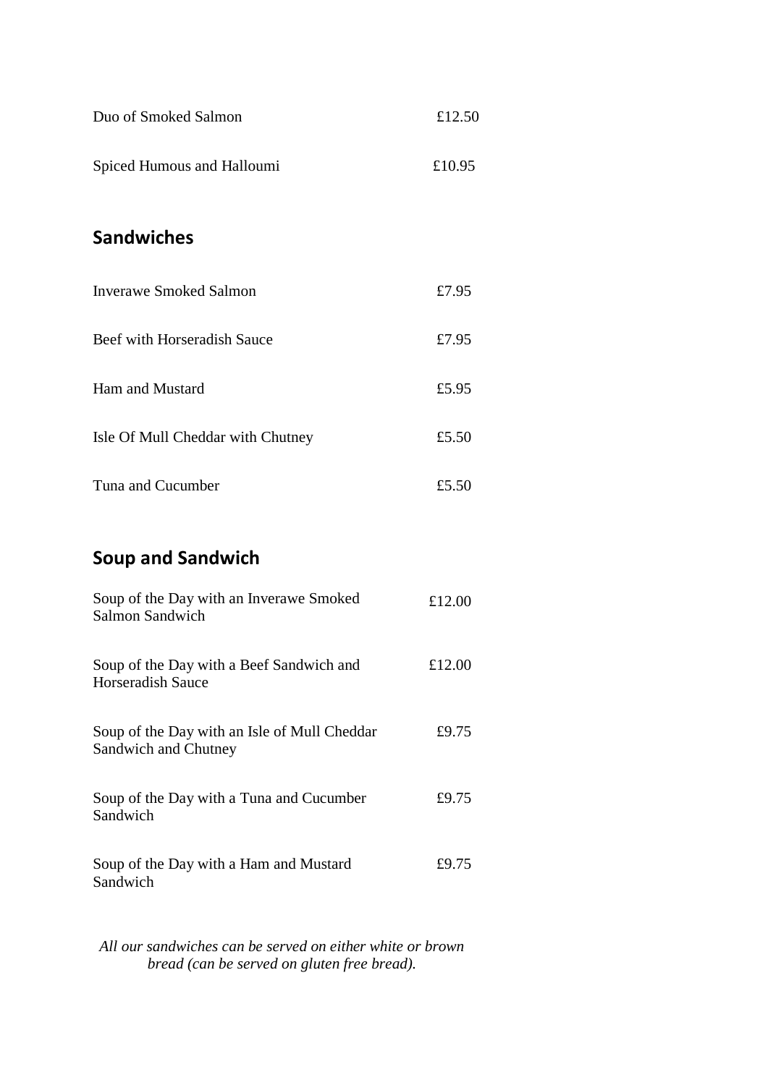| Duo of Smoked Salmon              | £12.50 |
|-----------------------------------|--------|
| Spiced Humous and Halloumi        | £10.95 |
| <b>Sandwiches</b>                 |        |
| <b>Inverawe Smoked Salmon</b>     | £7.95  |
| Beef with Horseradish Sauce       | £7.95  |
| Ham and Mustard                   | £5.95  |
| Isle Of Mull Cheddar with Chutney | £5.50  |

| Tuna and Cucumber | £5.50 |
|-------------------|-------|
|                   |       |

# **Soup and Sandwich**

| Soup of the Day with an Inverawe Smoked<br>Salmon Sandwich           | £12.00 |
|----------------------------------------------------------------------|--------|
| Soup of the Day with a Beef Sandwich and<br><b>Horseradish Sauce</b> | £12.00 |
| Soup of the Day with an Isle of Mull Cheddar<br>Sandwich and Chutney | £9.75  |
| Soup of the Day with a Tuna and Cucumber<br>Sandwich                 | £9.75  |
| Soup of the Day with a Ham and Mustard<br>Sandwich                   | £9.75  |

*All our sandwiches can be served on either white or brown bread (can be served on gluten free bread).*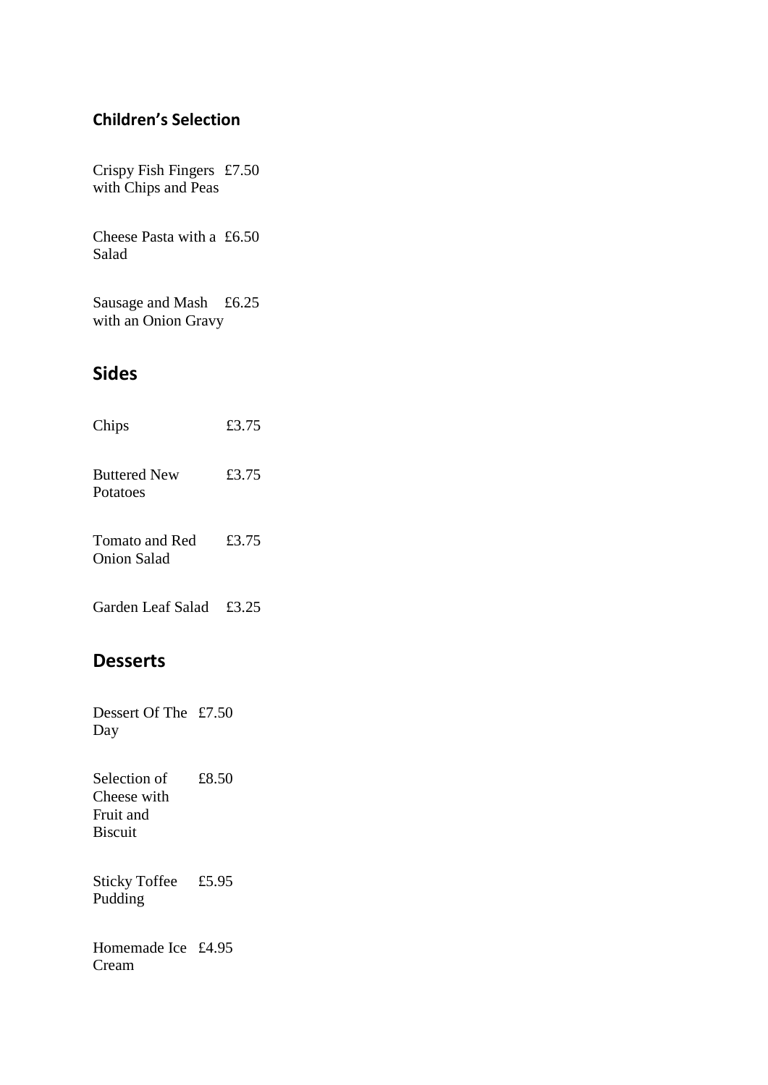### **Children's Selection**

Crispy Fish Fingers £7.50 with Chips and Peas

Cheese Pasta with a £6.50 Salad

Sausage and Mash £6.25 with an Onion Gravy

## **Sides**

| Chips                                | £3.75 |
|--------------------------------------|-------|
| <b>Buttered New</b><br>Potatoes      | £3.75 |
| Tomato and Red<br><b>Onion Salad</b> | £3.75 |

Garden Leaf Salad £3.25

## **Desserts**

Dessert Of The £7.50 Day

Selection of Cheese with Fruit and Biscuit £8.50

Sticky Toffee £5.95 Pudding

Homemade Ice £4.95Cream